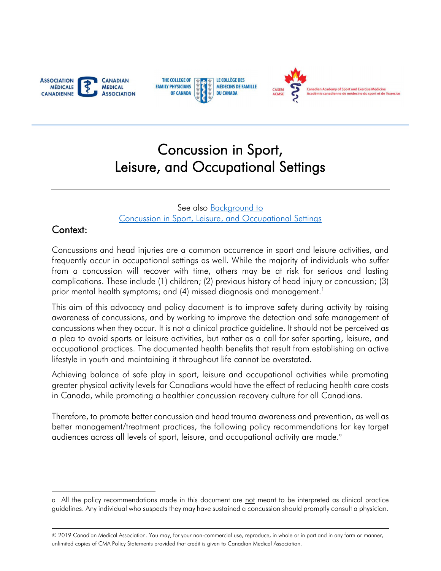<span id="page-0-0"></span>





# Concussion in Sport, Leisure, and Occupational Settings

See also Background to Concussion in Sport, Leisure, and Occupational Settings

#### Context:

 $\overline{a}$ 

 frequently occur in occupational settings as well. While the majority of individuals who suffer Concussions and head injuries are a common occurrence in sport and leisure activities, and from a concussion will recover with time, others may be at risk for serious and lasting complications. These include (1) children; (2) previous history of head injury or concussion; (3) prior mental health symptoms; and (4) missed diagnosis and management.<sup>1</sup>

 awareness of concussions, and by working to improve the detection and safe management of a plea to avoid sports or leisure activities, but rather as a call for safer sporting, leisure, and This aim of this advocacy and policy document is to improve safety during activity by raising concussions when they occur. It is not a clinical practice guideline. It should not be perceived as occupational practices. The documented health benefits that result from establishing an active lifestyle in youth and maintaining it throughout life cannot be overstated.

 Achieving balance of safe play in sport, leisure and occupational activities while promoting greater physical activity levels for Canadians would have the effect of reducing health care costs in Canada, while promoting a healthier concussion recovery culture for all Canadians.

 Therefore, to promote better concussion and head trauma awareness and prevention, as well as better management/treatment practices, the following policy recommendations for key target audiences across all levels of sport, leisure, and occupational activity are made. a

a All the policy recommendations made in this document are not meant to be interpreted as clinical practice guidelines. Any individual who suspects they may have sustained a concussion should promptly consult a physician.

<sup>© 2019</sup> Canadian Medical Association. You may, for your non-commercial use, reproduce, in whole or in part and in any form or manner, unlimited copies of CMA Policy Statements provided that credit is given to Canadian Medical Association.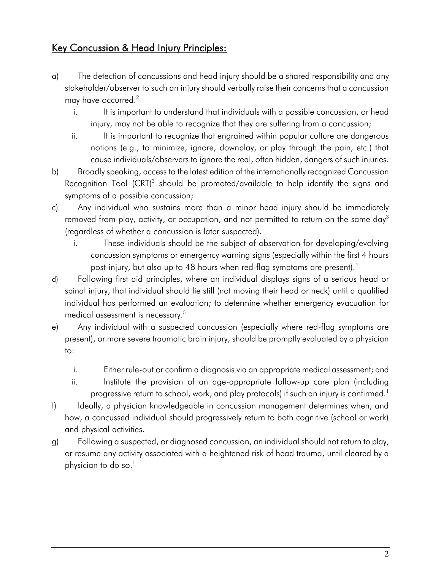### Key Concussion & Head Injury Principles:

- stakeholder/observer to such an injury should verbally raise their concerns that a concussion a) The detection of concussions and head injury should be a shared responsibility and any may have occurred.<sup>2</sup>
	- i. It is important to understand that individuals with a possible concussion, or head injury, may not be able to recognize that they are suffering from a concussion;
	- notions (e.g., to minimize, ignore, downplay, or play through the pain, etc.) that cause individuals/observers to ignore the real, often hidden, dangers of such injuries. ii. It is important to recognize that engrained within popular culture are dangerous
- b) Broadly speaking, access to the latest edition of the internationally recognized Concussion Recognition Tool (CRT)<sup>3</sup> should be promoted/available to help identify the signs and symptoms of a possible concussion;
- removed from play, activity, or occupation, and not permitted to return on the same day $^3$ c) Any individual who sustains more than a minor head injury should be immediately (regardless of whether a concussion is later suspected).
	- concussion symptoms or emergency warning signs (especially within the first 4 hours i. These individuals should be the subject of observation for developing/evolving post-injury, but also up to 48 hours when red-flag symptoms are present).<sup>4</sup>
- d) Following first aid principles, where an individual displays signs of a serious head or spinal injury, that individual should lie still (not moving their head or neck) until a qualified individual has performed an evaluation; to determine whether emergency evacuation for medical assessment is necessary. [5](#page-8-4)
- e) Any individual with a suspected concussion (especially where red-flag symptoms are present), or more severe traumatic brain injury, should be promptly evaluated by a physician to:
	- i. Either rule-out or confirm a diagnosis via an appropriate medical assessment; and
	- progressive return to school, work, and play protocols) if such an injury is confirmed. $^{\rm 1}$ ii. Institute the provision of an age-appropriate follow-up care plan (including
- how, a concussed individual should progressively return to both cognitive (school or work) f) Ideally, a physician knowledgeable in concussion management determines when, and and physical activities.
- g) Following a suspected, or diagnosed concussion, an individual should not return to play, or resume any activity associated with a heightened risk of head trauma, until cleared by a physician to do so. $<sup>1</sup>$ </sup>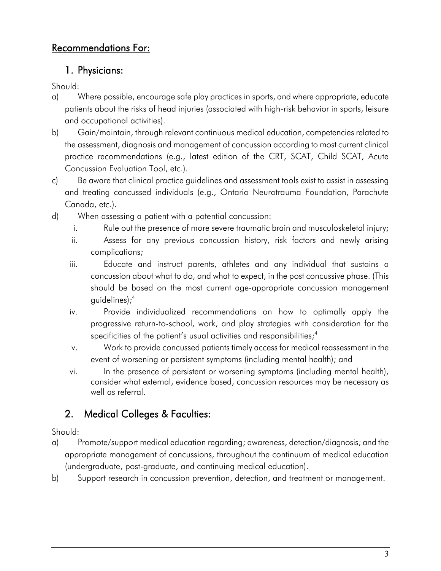## Recommendations For:

#### 1. Physicians:

Should:

- a) Where possible, encourage safe play practices in sports, and where appropriate, educate patients about the risks of head injuries (associated with high-risk behavior in sports, leisure and occupational activities).
- b) Gain/maintain, through relevant continuous medical education, competencies related to the assessment, diagnosis and management of concussion according to most current clinical practice recommendations (e.g., latest edition of the CRT, SCAT, Child SCAT, Acute Concussion Evaluation Tool, etc.).
- c) Be aware that clinical practice guidelines and assessment tools exist to assist in assessing and treating concussed individuals (e.g., Ontario Neurotrauma Foundation, Parachute Canada, etc.).
- d) When assessing a patient with a potential concussion:
	- i. Rule out the presence of more severe traumatic brain and musculoskeletal injury;
	- ii. Assess for any previous concussion history, risk factors and newly arising complications;
	- iii. Educate and instruct parents, athletes and any individual that sustains a concussion about what to do, and what to expect, in the post concussive phase. (This should be based on the most current age-appropriate concussion management guidelines)[;4](#page-8-3)
	- iv. Provide individualized recommendations on how to optimally apply the progressive return-to-school, work, and play strategies with consideration for the specificities of the patient's usual activities and responsibilities;<sup>4</sup>
	- v. Work to provide concussed patients timely access for medical reassessment in the event of worsening or persistent symptoms (including mental health); and
	- vi. In the presence of persistent or worsening symptoms (including mental health), consider what external, evidence based, concussion resources may be necessary as well as referral.

# 2. Medical Colleges & Faculties:

- a) Promote/support medical education regarding; awareness, detection/diagnosis; and the appropriate management of concussions, throughout the continuum of medical education (undergraduate, post-graduate, and continuing medical education).
- b) Support research in concussion prevention, detection, and treatment or management.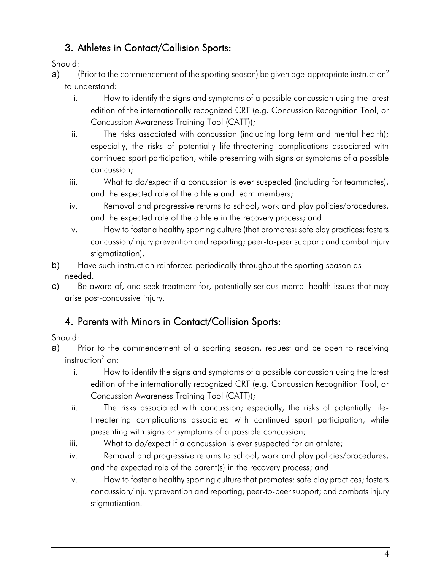## 3. Athletes in Contact/Collision Sports:

Should:

- **a)** (Prior to the commencement of the sporting season) be given age-appropriate instruction $^2$ to understand:
	- i. How to identify the signs and symptoms of a possible concussion using the latest edition of the internationally recognized CRT (e.g. Concussion Recognition Tool, or Concussion Awareness Training Tool (CATT));
	- ii. The risks associated with concussion (including long term and mental health); especially, the risks of potentially life-threatening complications associated with continued sport participation, while presenting with signs or symptoms of a possible concussion;
	- iii. What to do/expect if a concussion is ever suspected (including for teammates), and the expected role of the athlete and team members;
	- iv. Removal and progressive returns to school, work and play policies/procedures, and the expected role of the athlete in the recovery process; and
	- v. How to foster a healthy sporting culture (that promotes: safe play practices; fosters concussion/injury prevention and reporting; peer-to-peer support; and combat injury stigmatization).
- b) Have such instruction reinforced periodically throughout the sporting season as needed.
- c) Be aware of, and seek treatment for, potentially serious mental health issues that may arise post-concussive injury.

## 4. Parents with Minors in Contact/Collision Sports:

- a) Prior to the commencement of a sporting season, request and be open to receiving  $instructor<sup>2</sup>$  on:
	- i. How to identify the signs and symptoms of a possible concussion using the latest edition of the internationally recognized CRT (e.g. Concussion Recognition Tool, or Concussion Awareness Training Tool (CATT));
	- threatening complications associated with continued sport participation, while ii. The risks associated with concussion; especially, the risks of potentially lifepresenting with signs or symptoms of a possible concussion;
	- iii. What to do/expect if a concussion is ever suspected for an athlete;
	- iv. Removal and progressive returns to school, work and play policies/procedures, and the expected role of the parent(s) in the recovery process; and
	- concussion/injury prevention and reporting; peer-to-peer support; and combats injury v. How to foster a healthy sporting culture that promotes: safe play practices; fosters stigmatization.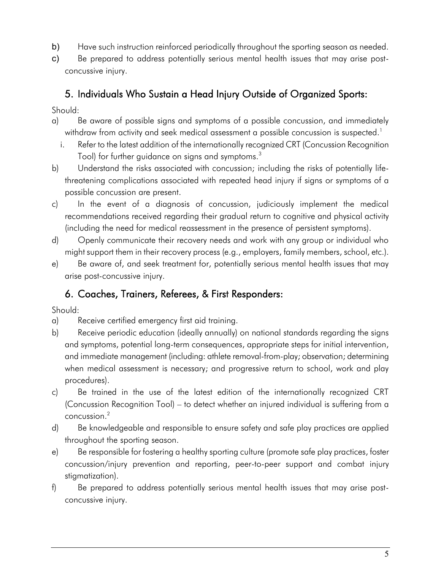- b) Have such instruction reinforced periodically throughout the sporting season as needed.
- c) Be prepared to address potentially serious mental health issues that may arise postconcussive injury.

#### 5. Individuals Who Sustain a Head Injury Outside of Organized Sports:

Should:

- a) Be aware of possible signs and symptoms of a possible concussion, and immediately withdraw from activity and seek medical assessment a possible concussion is suspected. $^{\rm l}$ 
	- i. Refer to the latest addition of the internationally recognized CRT (Concussion Recognition Tool) for further guidance on signs and symptoms.<sup>3</sup>
- b) Understand the risks associated with concussion; including the risks of potentially lifethreatening complications associated with repeated head injury if signs or symptoms of a possible concussion are present.
- c) In the event of a diagnosis of concussion, judiciously implement the medical recommendations received regarding their gradual return to cognitive and physical activity (including the need for medical reassessment in the presence of persistent symptoms).
- d) Openly communicate their recovery needs and work with any group or individual who might support them in their recovery process (e.g., employers, family members, school, etc.).
- e) Be aware of, and seek treatment for, potentially serious mental health issues that may arise post-concussive injury.

## 6. Coaches, Trainers, Referees, & First Responders:

- a) Receive certified emergency first aid training.
- b) Receive periodic education (ideally annually) on national standards regarding the signs and immediate management (including: athlete removal-from-play; observation; determining when medical assessment is necessary; and progressive return to school, work and play and symptoms, potential long-term consequences, appropriate steps for initial intervention, procedures).
- c) Be trained in the use of the latest edition of the internationally recognized CRT (Concussion Recognition Tool) – to detect whether an injured individual is suffering from a concussion.[2](#page-8-1)
- d) Be knowledgeable and responsible to ensure safety and safe play practices are applied throughout the sporting season.
- e) Be responsible for fostering a healthy sporting culture (promote safe play practices, foster concussion/injury prevention and reporting, peer-to-peer support and combat injury stigmatization).
- f) Be prepared to address potentially serious mental health issues that may arise postconcussive injury.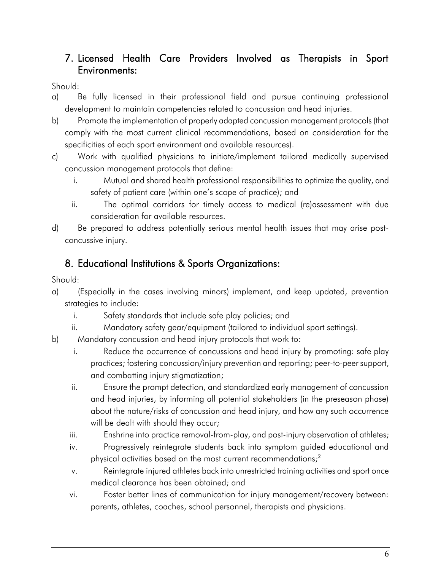## 7. Licensed Health Care Providers Involved as Therapists in Sport Environments:

Should:

- a) Be fully licensed in their professional field and pursue continuing professional development to maintain competencies related to concussion and head injuries.
- b) Promote the implementation of properly adapted concussion management protocols (that comply with the most current clinical recommendations, based on consideration for the specificities of each sport environment and available resources).
- c) Work with qualified physicians to initiate/implement tailored medically supervised concussion management protocols that define:
	- i. Mutual and shared health professional responsibilities to optimize the quality, and safety of patient care (within one's scope of practice); and
	- ii. The optimal corridors for timely access to medical (re)assessment with due consideration for available resources.
- d) Be prepared to address potentially serious mental health issues that may arise postconcussive injury.

## 8. Educational Institutions & Sports Organizations:

- a) (Especially in the cases involving minors) implement, and keep updated, prevention strategies to include:
	- i. Safety standards that include safe play policies; and
	- ii. Mandatory safety gear/equipment (tailored to individual sport settings).
- b) Mandatory concussion and head injury protocols that work to:
	- practices; fostering concussion/injury prevention and reporting; peer-to-peer support, i. Reduce the occurrence of concussions and head injury by promoting: safe play and combatting injury stigmatization;
	- ii. Ensure the prompt detection, and standardized early management of concussion and head injuries, by informing all potential stakeholders (in the preseason phase) about the nature/risks of concussion and head injury, and how any such occurrence will be dealt with should they occur;
	-
	- iii. Enshrine into practice removal-from-play, and post-injury observation of athletes; iv. Progressively reintegrate students back into symptom guided educational and Progressively reintegrate students back into symptom guided educational and physical activities based on the most current recommendations; $<sup>2</sup>$ </sup>
	- v. Reintegrate injured athletes back into unrestricted training activities and sport once medical clearance has been obtained; and
	- vi. Foster better lines of communication for injury management/recovery between: parents, athletes, coaches, school personnel, therapists and physicians.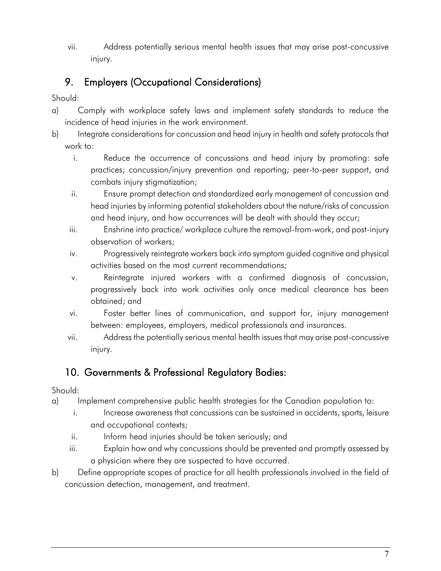vii. Address potentially serious mental health issues that may arise post-concussive injury.

# 9. Employers (Occupational Considerations)

Should:

- a) Comply with workplace safety laws and implement safety standards to reduce the incidence of head injuries in the work environment.
- b) Integrate considerations for concussion and head injury in health and safety protocols that work to:
	- i. Reduce the occurrence of concussions and head injury by promoting: safe practices; concussion/injury prevention and reporting; peer-to-peer support, and combats injury stigmatization;
	- ii. Ensure prompt detection and standardized early management of concussion and head injuries by informing potential stakeholders about the nature/risks of concussion and head injury, and how occurrences will be dealt with should they occur;
	- iii. Enshrine into practice/ workplace culture the removal-from-work, and post-injury observation of workers;
	- iv. Progressively reintegrate workers back into symptom guided cognitive and physical activities based on the most current recommendations;
	- v. Reintegrate injured workers with a confirmed diagnosis of concussion, progressively back into work activities only once medical clearance has been obtained; and
	- vi. Foster better lines of communication, and support for, injury management between: employees, employers, medical professionals and insurances.
	- vii. Address the potentially serious mental health issues that may arise post-concussive injury.

## 10. Governments & Professional Regulatory Bodies:

- a) Implement comprehensive public health strategies for the Canadian population to:
	- i. Increase awareness that concussions can be sustained in accidents, sports, leisure and occupational contexts;
	- ii. Inform head injuries should be taken seriously; and
	- iii. Explain how and why concussions should be prevented and promptly assessed by a physician where they are suspected to have occurred.
- b) Define appropriate scopes of practice for all health professionals involved in the field of concussion detection, management, and treatment.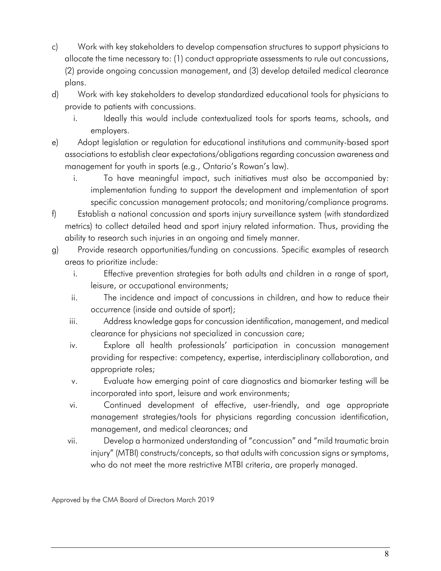- c) Work with key stakeholders to develop compensation structures to support physicians to allocate the time necessary to: (1) conduct appropriate assessments to rule out concussions, (2) provide ongoing concussion management, and (3) develop detailed medical clearance plans.
- d) Work with key stakeholders to develop standardized educational tools for physicians to provide to patients with concussions.
	- i. Ideally this would include contextualized tools for sports teams, schools, and employers.
- associations to establish clear expectations/obligations regarding concussion awareness and e) Adopt legislation or regulation for educational institutions and community-based sport management for youth in sports (e.g., Ontario's Rowan's law).
	- i. To have meaningful impact, such initiatives must also be accompanied by: implementation funding to support the development and implementation of sport specific concussion management protocols; and monitoring/compliance programs.
- metrics) to collect detailed head and sport injury related information. Thus, providing the f) Establish a national concussion and sports injury surveillance system (with standardized ability to research such injuries in an ongoing and timely manner.
- g) Provide research opportunities/funding on concussions. Specific examples of research areas to prioritize include:
	- i. Effective prevention strategies for both adults and children in a range of sport, leisure, or occupational environments;
	- ii. The incidence and impact of concussions in children, and how to reduce their occurrence (inside and outside of sport);
	- iii. Address knowledge gaps for concussion identification, management, and medical clearance for physicians not specialized in concussion care;
	- iv. Explore all health professionals' participation in concussion management providing for respective: competency, expertise, interdisciplinary collaboration, and appropriate roles;
	- v. Evaluate how emerging point of care diagnostics and biomarker testing will be incorporated into sport, leisure and work environments;
	- vi. Continued development of effective, user-friendly, and age appropriate management strategies/tools for physicians regarding concussion identification, management, and medical clearances; and
	- vii. Develop a harmonized understanding of "concussion" and "mild traumatic brain injury" (MTBI) constructs/concepts, so that adults with concussion signs or symptoms, who do not meet the more restrictive MTBI criteria, are properly managed.

Approved by the CMA Board of Directors March 2019